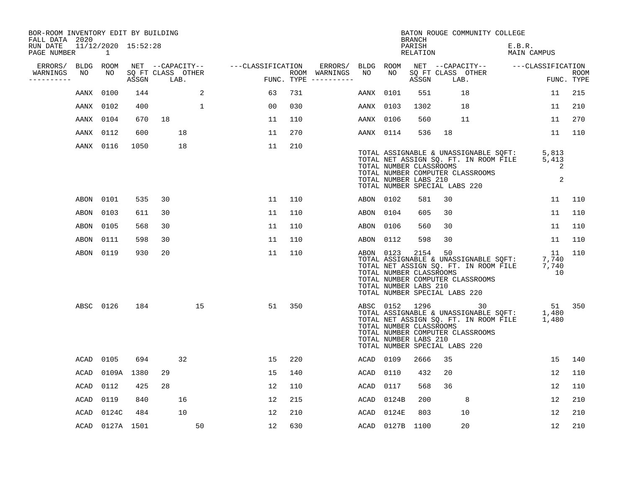| BOR-ROOM INVENTORY EDIT BY BUILDING<br>FALL DATA 2020 |           |                          |       |                           |             |                   |     |                                      |           |                                                                                                     | <b>BRANCH</b>      |    | BATON ROUGE COMMUNITY COLLEGE                                                   |                                                                                                      |                           |
|-------------------------------------------------------|-----------|--------------------------|-------|---------------------------|-------------|-------------------|-----|--------------------------------------|-----------|-----------------------------------------------------------------------------------------------------|--------------------|----|---------------------------------------------------------------------------------|------------------------------------------------------------------------------------------------------|---------------------------|
| RUN DATE<br>PAGE NUMBER                               |           | 11/12/2020 15:52:28<br>1 |       |                           |             |                   |     |                                      |           |                                                                                                     | PARISH<br>RELATION |    |                                                                                 | E.B.R.<br>MAIN CAMPUS                                                                                |                           |
| ERRORS/                                               |           | BLDG ROOM                |       | NET --CAPACITY--          |             | ---CLASSIFICATION |     | ERRORS/                              | BLDG ROOM |                                                                                                     |                    |    |                                                                                 | NET --CAPACITY-- ---CLASSIFICATION                                                                   |                           |
| WARNINGS<br>----------                                | NO        | NO                       | ASSGN | SQ FT CLASS OTHER<br>LAB. |             |                   |     | ROOM WARNINGS<br>FUNC. TYPE $------$ | NO        | NO                                                                                                  | ASSGN              |    | SQ FT CLASS OTHER<br>LAB.                                                       |                                                                                                      | <b>ROOM</b><br>FUNC. TYPE |
|                                                       | AANX      | 0100                     | 144   |                           | 2           | 63                | 731 |                                      | AANX 0101 |                                                                                                     | 551                |    | 18                                                                              | 11                                                                                                   | 215                       |
|                                                       | AANX 0102 |                          | 400   |                           | $\mathbf 1$ | 00                | 030 |                                      | AANX 0103 |                                                                                                     | 1302               |    | 18                                                                              | 11                                                                                                   | 210                       |
|                                                       | AANX 0104 |                          | 670   | 18                        |             | 11                | 110 |                                      | AANX 0106 |                                                                                                     | 560                |    | 11                                                                              | 11                                                                                                   | 270                       |
|                                                       | AANX 0112 |                          | 600   | 18                        |             | 11                | 270 |                                      | AANX 0114 |                                                                                                     | 536                | 18 |                                                                                 | 11                                                                                                   | 110                       |
|                                                       |           | AANX 0116                | 1050  | 18                        |             | 11                | 210 |                                      |           | TOTAL NUMBER CLASSROOMS<br>TOTAL NUMBER LABS 210<br>TOTAL NUMBER SPECIAL LABS 220                   |                    |    | TOTAL NUMBER COMPUTER CLASSROOMS                                                | TOTAL ASSIGNABLE & UNASSIGNABLE SQFT: 5,813<br>TOTAL NET ASSIGN SQ. FT. IN ROOM FILE 5,413<br>2<br>2 |                           |
|                                                       | ABON      | 0101                     | 535   | 30                        |             | 11                | 110 |                                      | ABON 0102 |                                                                                                     | 581                | 30 |                                                                                 | 11                                                                                                   | 110                       |
|                                                       | ABON      | 0103                     | 611   | 30                        |             | 11                | 110 |                                      | ABON 0104 |                                                                                                     | 605                | 30 |                                                                                 | 11                                                                                                   | 110                       |
|                                                       | ABON      | 0105                     | 568   | 30                        |             | 11                | 110 |                                      | ABON 0106 |                                                                                                     | 560                | 30 |                                                                                 | 11                                                                                                   | 110                       |
|                                                       | ABON      | 0111                     | 598   | 30                        |             | 11                | 110 |                                      | ABON 0112 |                                                                                                     | 598                | 30 |                                                                                 | 11                                                                                                   | 110                       |
|                                                       | ABON      | 0119                     | 930   | 20                        |             | 11                | 110 |                                      | ABON 0123 | TOTAL NUMBER CLASSROOMS<br>TOTAL NUMBER LABS 210<br>TOTAL NUMBER SPECIAL LABS 220                   | 2154               | 50 | TOTAL ASSIGNABLE & UNASSIGNABLE SQFT:<br>TOTAL NUMBER COMPUTER CLASSROOMS       | - 11<br>7,740<br>TOTAL ASSIGNABLE & UNASSIGNABLE SET. IN ROOM FILE 7,740<br>10                       | 110                       |
|                                                       |           | ABSC 0126                | 184   |                           | 15          | 51                | 350 |                                      |           | ABSC 0152 1296<br>TOTAL NUMBER CLASSROOMS<br>TOTAL NUMBER LABS 210<br>TOTAL NUMBER SPECIAL LABS 220 |                    |    | 30<br>TOTAL ASSIGNABLE & UNASSIGNABLE SQFT:<br>TOTAL NUMBER COMPUTER CLASSROOMS | 51<br>51<br>1,480<br>TOTAL NET ASSIGN SQ. FT. IN ROOM FILE 1,480                                     | 350                       |
|                                                       | ACAD      | 0105                     | 694   | 32                        |             | 15                | 220 |                                      | ACAD      | 0109                                                                                                | 2666               | 35 |                                                                                 | 15                                                                                                   | 140                       |
|                                                       | ACAD      | 0109A                    | 1380  | 29                        |             | 15                | 140 |                                      | ACAD      | 0110                                                                                                | 432                | 20 |                                                                                 | 12                                                                                                   | 110                       |
|                                                       | ACAD      | 0112                     | 425   | 28                        |             | 12                | 110 |                                      | ACAD      | 0117                                                                                                | 568                | 36 |                                                                                 | 12                                                                                                   | 110                       |
|                                                       | ACAD      | 0119                     | 840   | 16                        |             | 12                | 215 |                                      | ACAD      | 0124B                                                                                               | 200                |    | 8                                                                               | 12                                                                                                   | 210                       |
|                                                       | ACAD      | 0124C                    | 484   | 10                        |             | 12                | 210 |                                      | ACAD      | 0124E                                                                                               | 803                |    | 10                                                                              | 12                                                                                                   | 210                       |
|                                                       |           | ACAD 0127A 1501          |       |                           | 50          | 12                | 630 |                                      |           | ACAD 0127B 1100                                                                                     |                    |    | 20                                                                              | 12                                                                                                   | 210                       |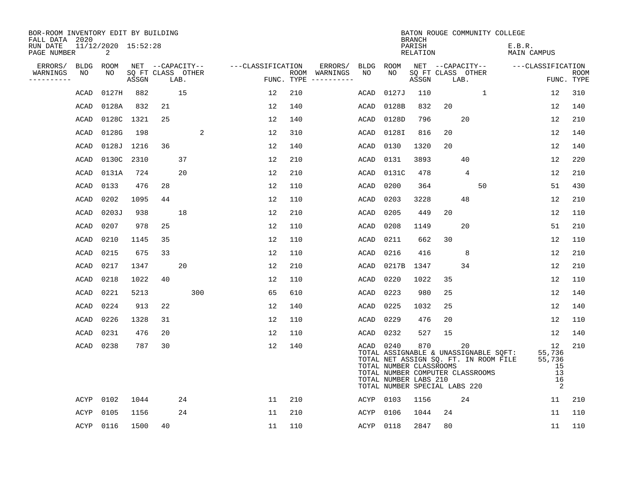| BOR-ROOM INVENTORY EDIT BY BUILDING<br>FALL DATA 2020 |      |                          |       |    |                           |                   |    |     |                                      |             |                                                                                   | <b>BRANCH</b>      |    |                                        | BATON ROUGE COMMUNITY COLLEGE                                                  |                                               |                           |
|-------------------------------------------------------|------|--------------------------|-------|----|---------------------------|-------------------|----|-----|--------------------------------------|-------------|-----------------------------------------------------------------------------------|--------------------|----|----------------------------------------|--------------------------------------------------------------------------------|-----------------------------------------------|---------------------------|
| RUN DATE<br>PAGE NUMBER                               |      | 11/12/2020 15:52:28<br>2 |       |    |                           |                   |    |     |                                      |             |                                                                                   | PARISH<br>RELATION |    |                                        | E.B.R.                                                                         | MAIN CAMPUS                                   |                           |
| ERRORS/                                               | BLDG | ROOM                     |       |    | NET --CAPACITY--          | ---CLASSIFICATION |    |     | ERRORS/                              |             | BLDG ROOM                                                                         |                    |    | NET --CAPACITY--                       |                                                                                | ---CLASSIFICATION                             |                           |
| WARNINGS<br>--------                                  | NO   | NO.                      | ASSGN |    | SQ FT CLASS OTHER<br>LAB. |                   |    |     | ROOM WARNINGS<br>FUNC. TYPE $------$ | NO          | NO.                                                                               | ASSGN              |    | SQ FT CLASS OTHER<br>LAB.              |                                                                                |                                               | <b>ROOM</b><br>FUNC. TYPE |
|                                                       | ACAD | 0127H                    | 882   |    | 15                        |                   | 12 | 210 |                                      | ACAD        | 0127J                                                                             | 110                |    | $\mathbf{1}$                           |                                                                                | 12                                            | 310                       |
|                                                       | ACAD | 0128A                    | 832   | 21 |                           | 12                |    | 140 |                                      | ACAD        | 0128B                                                                             | 832                | 20 |                                        |                                                                                | 12                                            | 140                       |
|                                                       | ACAD | 0128C                    | 1321  | 25 |                           | 12                |    | 140 |                                      | ACAD        | 0128D                                                                             | 796                |    | 20                                     |                                                                                | 12                                            | 210                       |
|                                                       | ACAD | 0128G                    | 198   |    | 2                         |                   | 12 | 310 |                                      | ACAD        | 01281                                                                             | 816                | 20 |                                        |                                                                                | 12                                            | 140                       |
|                                                       | ACAD | 0128J                    | 1216  | 36 |                           |                   | 12 | 140 |                                      | ACAD        | 0130                                                                              | 1320               | 20 |                                        |                                                                                | 12                                            | 140                       |
|                                                       | ACAD | 0130C                    | 2310  |    | 37                        | 12                |    | 210 |                                      | ACAD        | 0131                                                                              | 3893               |    | 40                                     |                                                                                | 12                                            | 220                       |
|                                                       | ACAD | 0131A                    | 724   |    | 20                        | 12                |    | 210 |                                      | ACAD        | 0131C                                                                             | 478                |    | 4                                      |                                                                                | 12                                            | 210                       |
|                                                       | ACAD | 0133                     | 476   | 28 |                           |                   | 12 | 110 |                                      | <b>ACAD</b> | 0200                                                                              | 364                |    | 50                                     |                                                                                | 51                                            | 430                       |
|                                                       | ACAD | 0202                     | 1095  | 44 |                           | 12                |    | 110 |                                      | ACAD        | 0203                                                                              | 3228               |    | 48                                     |                                                                                | 12                                            | 210                       |
|                                                       | ACAD | 0203J                    | 938   |    | 18                        | 12                |    | 210 |                                      | ACAD        | 0205                                                                              | 449                | 20 |                                        |                                                                                | 12                                            | 110                       |
|                                                       | ACAD | 0207                     | 978   | 25 |                           | 12                |    | 110 |                                      | ACAD        | 0208                                                                              | 1149               |    | 20                                     |                                                                                | 51                                            | 210                       |
|                                                       | ACAD | 0210                     | 1145  | 35 |                           | 12                |    | 110 |                                      | ACAD        | 0211                                                                              | 662                | 30 |                                        |                                                                                | 12                                            | 110                       |
|                                                       | ACAD | 0215                     | 675   | 33 |                           | 12                |    | 110 |                                      | ACAD        | 0216                                                                              | 416                |    | 8                                      |                                                                                | 12                                            | 210                       |
|                                                       | ACAD | 0217                     | 1347  |    | 20                        | 12                |    | 210 |                                      | ACAD        | 0217B                                                                             | 1347               |    | 34                                     |                                                                                | 12                                            | 210                       |
|                                                       | ACAD | 0218                     | 1022  | 40 |                           | 12                |    | 110 |                                      | ACAD        | 0220                                                                              | 1022               | 35 |                                        |                                                                                | 12                                            | 110                       |
|                                                       | ACAD | 0221                     | 5213  |    | 300                       |                   | 65 | 610 |                                      | ACAD        | 0223                                                                              | 980                | 25 |                                        |                                                                                | 12                                            | 140                       |
|                                                       | ACAD | 0224                     | 913   | 22 |                           |                   | 12 | 140 |                                      | ACAD        | 0225                                                                              | 1032               | 25 |                                        |                                                                                | 12                                            | 140                       |
|                                                       | ACAD | 0226                     | 1328  | 31 |                           |                   | 12 | 110 |                                      | ACAD        | 0229                                                                              | 476                | 20 |                                        |                                                                                | 12                                            | 110                       |
|                                                       | ACAD | 0231                     | 476   | 20 |                           | 12                |    | 110 |                                      | ACAD        | 0232                                                                              | 527                | 15 |                                        |                                                                                | 12                                            | 140                       |
|                                                       | ACAD | 0238                     | 787   | 30 |                           | 12                |    | 140 |                                      | ACAD 0240   | TOTAL NUMBER CLASSROOMS<br>TOTAL NUMBER LABS 210<br>TOTAL NUMBER SPECIAL LABS 220 | 870                |    | 20<br>TOTAL NUMBER COMPUTER CLASSROOMS | TOTAL ASSIGNABLE & UNASSIGNABLE SQFT:<br>TOTAL NET ASSIGN SQ. FT. IN ROOM FILE | 12<br>55,736<br>55,736<br>15<br>13<br>16<br>2 | 210                       |
|                                                       | ACYP | 0102                     | 1044  |    | 24                        | 11                |    | 210 |                                      | ACYP        | 0103                                                                              | 1156               |    | 24                                     |                                                                                | 11                                            | 210                       |
|                                                       | ACYP | 0105                     | 1156  |    | 24                        |                   | 11 | 210 |                                      | ACYP        | 0106                                                                              | 1044               | 24 |                                        |                                                                                | 11                                            | 110                       |
|                                                       | ACYP | 0116                     | 1500  | 40 |                           |                   | 11 | 110 |                                      | ACYP        | 0118                                                                              | 2847               | 80 |                                        |                                                                                | 11                                            | 110                       |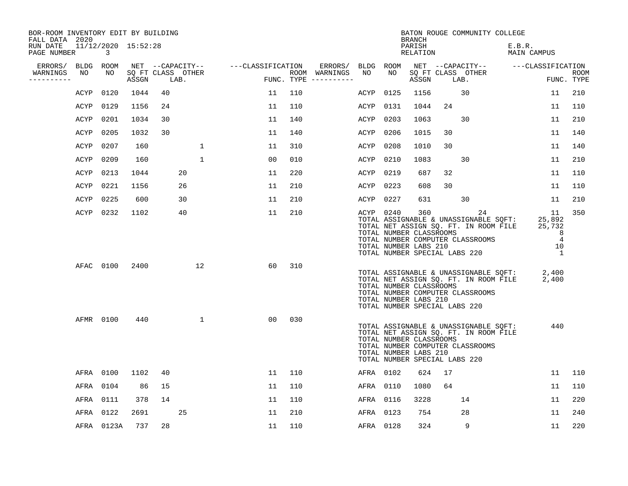| BOR-ROOM INVENTORY EDIT BY BUILDING<br>FALL DATA 2020 |           |                          |                            |    |      |              |                                    |                |     |                                      |           |           | BRANCH                                                                                   |    | BATON ROUGE COMMUNITY COLLEGE                                                                                            |                                       |                                                                       |      |
|-------------------------------------------------------|-----------|--------------------------|----------------------------|----|------|--------------|------------------------------------|----------------|-----|--------------------------------------|-----------|-----------|------------------------------------------------------------------------------------------|----|--------------------------------------------------------------------------------------------------------------------------|---------------------------------------|-----------------------------------------------------------------------|------|
| RUN DATE<br>PAGE NUMBER                               |           | 11/12/2020 15:52:28<br>3 |                            |    |      |              |                                    |                |     |                                      |           |           | PARISH<br>RELATION                                                                       |    |                                                                                                                          | E.B.R.<br>MAIN CAMPUS                 |                                                                       |      |
| ERRORS/                                               | BLDG      | ROOM                     |                            |    |      |              | NET --CAPACITY-- ---CLASSIFICATION |                |     | ERRORS/                              | BLDG ROOM |           |                                                                                          |    |                                                                                                                          | NET --CAPACITY-- ---CLASSIFICATION    |                                                                       |      |
| WARNINGS<br>----------                                | NO        | NO                       | SQ FT CLASS OTHER<br>ASSGN |    | LAB. |              |                                    |                |     | ROOM WARNINGS<br>FUNC. TYPE $------$ | NO        | NO.       | ASSGN                                                                                    |    | SQ FT CLASS OTHER<br>LAB.                                                                                                |                                       | FUNC. TYPE                                                            | ROOM |
|                                                       | ACYP      | 0120                     | 1044                       | 40 |      |              |                                    | 11             | 110 |                                      | ACYP      | 0125      | 1156                                                                                     |    | 30                                                                                                                       |                                       | 11                                                                    | 210  |
|                                                       | ACYP      | 0129                     | 1156                       | 24 |      |              |                                    | 11             | 110 |                                      | ACYP      | 0131      | 1044                                                                                     | 24 |                                                                                                                          |                                       | 11                                                                    | 110  |
|                                                       | ACYP      | 0201                     | 1034                       | 30 |      |              |                                    | 11             | 140 |                                      | ACYP      | 0203      | 1063                                                                                     |    | 30                                                                                                                       |                                       | 11                                                                    | 210  |
|                                                       | ACYP      | 0205                     | 1032                       | 30 |      |              |                                    | 11             | 140 |                                      | ACYP      | 0206      | 1015                                                                                     | 30 |                                                                                                                          |                                       | 11                                                                    | 140  |
|                                                       | ACYP      | 0207                     | 160                        |    |      | $\mathbf{1}$ |                                    | 11             | 310 |                                      | ACYP      | 0208      | 1010                                                                                     | 30 |                                                                                                                          |                                       | 11                                                                    | 140  |
|                                                       | ACYP      | 0209                     | 160                        |    |      | $\mathbf 1$  |                                    | 0 <sub>0</sub> | 010 |                                      | ACYP      | 0210      | 1083                                                                                     |    | 30                                                                                                                       |                                       | 11                                                                    | 210  |
|                                                       | ACYP      | 0213                     | 1044                       |    | 20   |              |                                    | 11             | 220 |                                      | ACYP      | 0219      | 687                                                                                      | 32 |                                                                                                                          |                                       | 11                                                                    | 110  |
|                                                       | ACYP      | 0221                     | 1156                       |    | 26   |              |                                    | 11             | 210 |                                      | ACYP      | 0223      | 608                                                                                      | 30 |                                                                                                                          |                                       | 11                                                                    | 110  |
|                                                       | ACYP      | 0225                     | 600                        |    | 30   |              |                                    | 11             | 210 |                                      | ACYP      | 0227      | 631                                                                                      |    | 30                                                                                                                       |                                       | 11                                                                    | 210  |
|                                                       | ACYP      | 0232                     | 1102                       |    | 40   |              |                                    | 11             | 210 |                                      |           | ACYP 0240 | 360<br>TOTAL NUMBER CLASSROOMS<br>TOTAL NUMBER LABS 210<br>TOTAL NUMBER SPECIAL LABS 220 |    | 24<br>TOTAL ASSIGNABLE & UNASSIGNABLE SQFT:<br>TOTAL NET ASSIGN SQ. FT. IN ROOM FILE<br>TOTAL NUMBER COMPUTER CLASSROOMS |                                       | 11<br>25,892<br>25,732<br>8<br>$\overline{4}$<br>10<br>$\overline{1}$ | 350  |
|                                                       |           | AFAC 0100                | 2400                       |    |      | 12           |                                    | 60             | 310 |                                      |           |           | TOTAL NUMBER CLASSROOMS<br>TOTAL NUMBER LABS 210<br>TOTAL NUMBER SPECIAL LABS 220        |    | TOTAL NET ASSIGN SQ. FT. IN ROOM FILE<br>TOTAL NUMBER COMPUTER CLASSROOMS                                                | TOTAL ASSIGNABLE & UNASSIGNABLE SQFT: | 2,400<br>2,400                                                        |      |
|                                                       | AFMR 0100 |                          | 440                        |    |      | $\mathbf{1}$ |                                    | 00             | 030 |                                      |           |           | TOTAL NUMBER CLASSROOMS<br>TOTAL NUMBER LABS 210<br>TOTAL NUMBER SPECIAL LABS 220        |    | TOTAL ASSIGNABLE & UNASSIGNABLE SQFT:<br>TOTAL NET ASSIGN SQ. FT. IN ROOM FILE<br>TOTAL NUMBER COMPUTER CLASSROOMS       |                                       | 440                                                                   |      |
|                                                       | AFRA      | 0100                     | 1102                       | 40 |      |              |                                    | 11             | 110 |                                      | AFRA 0102 |           | 624                                                                                      | 17 |                                                                                                                          |                                       | 11                                                                    | 110  |
|                                                       | AFRA      | 0104                     | 86                         | 15 |      |              |                                    | 11             | 110 |                                      | AFRA      | 0110      | 1080                                                                                     | 64 |                                                                                                                          |                                       | 11                                                                    | 110  |
|                                                       | AFRA      | 0111                     | 378                        | 14 |      |              |                                    | 11             | 110 |                                      | AFRA      | 0116      | 3228                                                                                     |    | 14                                                                                                                       |                                       | 11                                                                    | 220  |
|                                                       | AFRA      | 0122                     | 2691                       |    | 25   |              |                                    | 11             | 210 |                                      | AFRA      | 0123      | 754                                                                                      |    | 28                                                                                                                       |                                       | 11                                                                    | 240  |
|                                                       |           | AFRA 0123A               | 737                        | 28 |      |              |                                    | 11             | 110 |                                      | AFRA 0128 |           | 324                                                                                      |    | 9                                                                                                                        |                                       | 11                                                                    | 220  |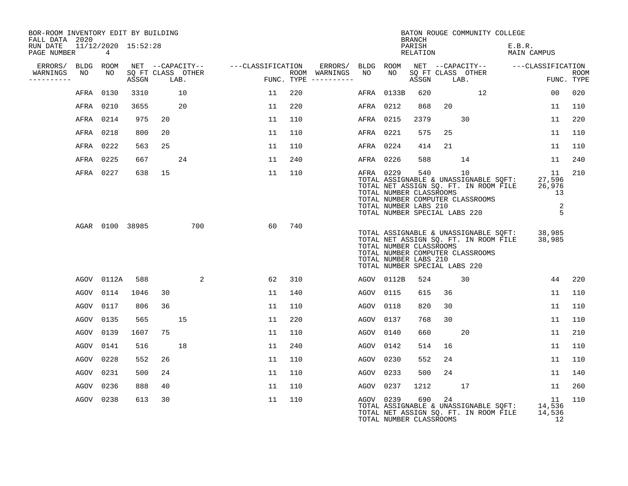| BOR-ROOM INVENTORY EDIT BY BUILDING<br>FALL DATA 2020 |                          |       |      |                   |                                    |     |                                      |           |                                                                                   | <b>BRANCH</b>      |    | BATON ROUGE COMMUNITY COLLEGE                                                                                                                             |                       |                                        |                           |
|-------------------------------------------------------|--------------------------|-------|------|-------------------|------------------------------------|-----|--------------------------------------|-----------|-----------------------------------------------------------------------------------|--------------------|----|-----------------------------------------------------------------------------------------------------------------------------------------------------------|-----------------------|----------------------------------------|---------------------------|
| RUN DATE<br>PAGE NUMBER                               | 11/12/2020 15:52:28<br>4 |       |      |                   |                                    |     |                                      |           |                                                                                   | PARISH<br>RELATION |    |                                                                                                                                                           | E.B.R.<br>MAIN CAMPUS |                                        |                           |
| ERRORS/                                               | BLDG ROOM                |       |      |                   | NET --CAPACITY-- ---CLASSIFICATION |     | ERRORS/ BLDG ROOM                    |           |                                                                                   |                    |    | NET --CAPACITY-- - ---CLASSIFICATION                                                                                                                      |                       |                                        |                           |
| WARNINGS<br>NO<br>----------                          | NO                       | ASSGN | LAB. | SQ FT CLASS OTHER |                                    |     | ROOM WARNINGS<br>FUNC. TYPE $------$ | NO        | NO                                                                                | ASSGN              |    | SQ FT CLASS OTHER<br>LAB.                                                                                                                                 |                       |                                        | <b>ROOM</b><br>FUNC. TYPE |
|                                                       | AFRA 0130                | 3310  |      | 10                | 11                                 | 220 |                                      |           | AFRA 0133B                                                                        | 620                |    | 12                                                                                                                                                        |                       | 00                                     | 020                       |
|                                                       | AFRA 0210                | 3655  |      | 20                | 11                                 | 220 |                                      | AFRA 0212 |                                                                                   | 868                | 20 |                                                                                                                                                           |                       | 11                                     | 110                       |
|                                                       | AFRA 0214                | 975   | 20   |                   | 11                                 | 110 |                                      | AFRA 0215 |                                                                                   | 2379               |    | 30                                                                                                                                                        |                       | 11                                     | 220                       |
|                                                       | AFRA 0218                | 800   | 20   |                   | 11                                 | 110 |                                      | AFRA 0221 |                                                                                   | 575                | 25 |                                                                                                                                                           |                       | 11                                     | 110                       |
|                                                       | AFRA 0222                | 563   | 25   |                   | 11                                 | 110 |                                      | AFRA 0224 |                                                                                   | 414                | 21 |                                                                                                                                                           |                       | 11                                     | 110                       |
|                                                       | AFRA 0225                | 667   |      | 24                | 11                                 | 240 |                                      | AFRA 0226 |                                                                                   | 588                |    | 14                                                                                                                                                        |                       | 11                                     | 240                       |
|                                                       | AFRA 0227                | 638   | 15   |                   | 11                                 | 110 |                                      | AFRA 0229 | TOTAL NUMBER CLASSROOMS<br>TOTAL NUMBER LABS 210                                  | 540                |    | 10<br>TOTAL ASSIGNABLE & UNASSIGNABLE SOFT:<br>TOTAL ASSIGNABLE & UNASSIGNABLE SOFT:<br>TOTAL NUMBER COMPUTER CLASSROOMS<br>TOTAL NUMBER SPECIAL LABS 220 |                       | 11<br>27,596<br>26,976<br>13<br>2<br>5 | 210                       |
|                                                       | AGAR 0100 38985          |       |      | 700               | 60                                 | 740 |                                      |           | TOTAL NUMBER CLASSROOMS<br>TOTAL NUMBER LABS 210<br>TOTAL NUMBER SPECIAL LABS 220 |                    |    | TOTAL ASSIGNABLE & UNASSIGNABLE SQFT: 38,985<br>TOTAL NET ASSIGN SQ. FT. IN ROOM FILE 38,985<br>TOTAL NUMBER COMPUTER CLASSROOMS                          |                       |                                        |                           |
|                                                       | AGOV 0112A               | 588   |      | 2                 | 62                                 | 310 |                                      |           | AGOV 0112B                                                                        | 524                |    | 30                                                                                                                                                        |                       | 44                                     | 220                       |
| AGOV                                                  | 0114                     | 1046  | 30   |                   | 11                                 | 140 |                                      | AGOV 0115 |                                                                                   | 615                | 36 |                                                                                                                                                           |                       | 11                                     | 110                       |
| AGOV                                                  | 0117                     | 806   | 36   |                   | 11                                 | 110 |                                      | AGOV 0118 |                                                                                   | 820                | 30 |                                                                                                                                                           |                       | 11                                     | 110                       |
| AGOV                                                  | 0135                     | 565   |      | 15                | 11                                 | 220 |                                      | AGOV 0137 |                                                                                   | 768                | 30 |                                                                                                                                                           |                       | 11                                     | 110                       |
| AGOV                                                  | 0139                     | 1607  | 75   |                   | 11                                 | 110 |                                      | AGOV 0140 |                                                                                   | 660                |    | 20                                                                                                                                                        |                       | 11                                     | 210                       |
| AGOV                                                  | 0141                     | 516   |      | 18                | 11                                 | 240 |                                      | AGOV 0142 |                                                                                   | 514                | 16 |                                                                                                                                                           |                       | 11                                     | 110                       |
| AGOV                                                  | 0228                     | 552   | 26   |                   | 11                                 | 110 |                                      | AGOV 0230 |                                                                                   | 552                | 24 |                                                                                                                                                           |                       | 11                                     | 110                       |
| AGOV                                                  | 0231                     | 500   | 24   |                   | 11                                 | 110 |                                      | AGOV 0233 |                                                                                   | 500                | 24 |                                                                                                                                                           |                       | 11                                     | 140                       |
| AGOV                                                  | 0236                     | 888   | 40   |                   | 11                                 | 110 |                                      | AGOV      | 0237                                                                              | 1212               |    | 17                                                                                                                                                        |                       | 11                                     | 260                       |
|                                                       | AGOV 0238                | 613   | 30   |                   | 11                                 | 110 |                                      | AGOV 0239 | TOTAL NUMBER CLASSROOMS                                                           | 690                | 24 | TOTAL ASSIGNABLE & UNASSIGNABLE SQFT: 14,536<br>TOTAL NET ASSIGN SQ. FT. IN ROOM FILE                                                                     |                       | 11<br>14,536<br>12                     | 110                       |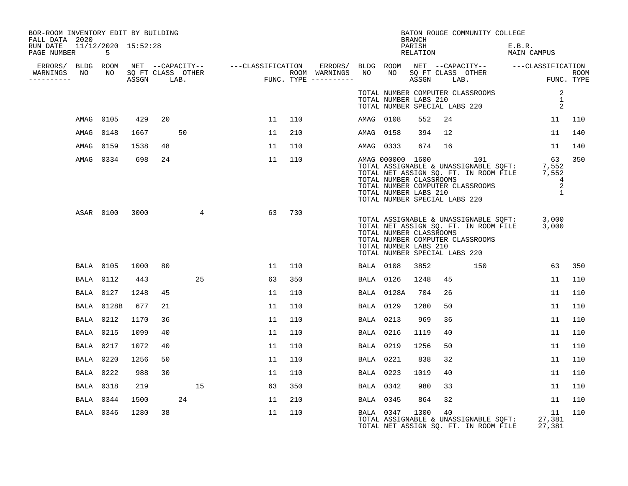| BOR-ROOM INVENTORY EDIT BY BUILDING<br>FALL DATA 2020 |                  |                           |                      |    |    |    |    |     |                  |                                                                                   | BRANCH             |    | BATON ROUGE COMMUNITY COLLEGE                                                                                                              |        |                                                                                            |     |
|-------------------------------------------------------|------------------|---------------------------|----------------------|----|----|----|----|-----|------------------|-----------------------------------------------------------------------------------|--------------------|----|--------------------------------------------------------------------------------------------------------------------------------------------|--------|--------------------------------------------------------------------------------------------|-----|
| RUN DATE<br>PAGE NUMBER                               |                  | 11/12/2020 15:52:28<br>-5 |                      |    |    |    |    |     |                  |                                                                                   | PARISH<br>RELATION |    |                                                                                                                                            | E.B.R. | MAIN CAMPUS                                                                                |     |
| ERRORS/ BLDG ROOM                                     |                  |                           |                      |    |    |    |    |     |                  |                                                                                   |                    |    |                                                                                                                                            |        |                                                                                            |     |
| WARNINGS<br>----------                                | NO               |                           | NO SQ FT CLASS OTHER |    |    |    |    |     |                  |                                                                                   |                    |    |                                                                                                                                            |        |                                                                                            |     |
|                                                       |                  |                           |                      |    |    |    |    |     |                  | TOTAL NUMBER LABS 210<br>TOTAL NUMBER SPECIAL LABS 220                            |                    |    | TOTAL NUMBER COMPUTER CLASSROOMS                                                                                                           |        | 2<br>$\mathbf{1}$<br>2                                                                     |     |
|                                                       | AMAG             | 0105                      | 429                  | 20 |    |    | 11 | 110 | AMAG 0108        |                                                                                   | 552                | 24 |                                                                                                                                            |        | 11                                                                                         | 110 |
|                                                       | AMAG             | 0148                      | 1667                 |    | 50 |    | 11 | 210 | AMAG             | 0158                                                                              | 394                | 12 |                                                                                                                                            |        | 11                                                                                         | 140 |
|                                                       | AMAG             | 0159                      | 1538                 | 48 |    |    | 11 | 110 | AMAG 0333        |                                                                                   | 674                | 16 |                                                                                                                                            |        | 11                                                                                         | 140 |
|                                                       | AMAG 0334        |                           | 698                  | 24 |    |    | 11 | 110 |                  | TOTAL NUMBER CLASSROOMS<br>TOTAL NUMBER LABS 210<br>TOTAL NUMBER SPECIAL LABS 220 |                    |    | AMAG 000000 1600 101<br>TOTAL ASSIGNABLE & UNASSIGNABLE SQFT:<br>TOTAL NET ASSIGN SQ. FT. IN ROOM FILE<br>TOTAL NUMBER COMPUTER CLASSROOMS |        | 63<br>7,552<br>7,552<br>$\overline{4}$<br>2<br>$\overline{1}$                              | 350 |
|                                                       | ASAR 0100        |                           | 3000                 |    |    | 4  | 63 | 730 |                  | TOTAL NUMBER CLASSROOMS<br>TOTAL NUMBER LABS 210<br>TOTAL NUMBER SPECIAL LABS 220 |                    |    | TOTAL NUMBER COMPUTER CLASSROOMS                                                                                                           |        | TOTAL ASSIGNABLE & UNASSIGNABLE SQFT: 3,000<br>TOTAL NET ASSIGN SQ. FT. IN ROOM FILE 3,000 |     |
|                                                       | <b>BALA 0105</b> |                           | 1000                 | 80 |    |    | 11 | 110 | <b>BALA</b> 0108 |                                                                                   | 3852               |    | 150                                                                                                                                        |        | 63                                                                                         | 350 |
|                                                       | BALA             | 0112                      | 443                  |    |    | 25 | 63 | 350 | BALA 0126        |                                                                                   | 1248               | 45 |                                                                                                                                            |        | 11                                                                                         | 110 |
|                                                       | <b>BALA</b> 0127 |                           | 1248                 | 45 |    |    | 11 | 110 |                  | BALA 0128A                                                                        | 704                | 26 |                                                                                                                                            |        | 11                                                                                         | 110 |
|                                                       | BALA             | 0128B                     | 677                  | 21 |    |    | 11 | 110 | BALA 0129        |                                                                                   | 1280               | 50 |                                                                                                                                            |        | 11                                                                                         | 110 |
|                                                       | BALA             | 0212                      | 1170                 | 36 |    |    | 11 | 110 | <b>BALA</b> 0213 |                                                                                   | 969                | 36 |                                                                                                                                            |        | 11                                                                                         | 110 |
|                                                       | <b>BALA 0215</b> |                           | 1099                 | 40 |    |    | 11 | 110 | <b>BALA</b> 0216 |                                                                                   | 1119               | 40 |                                                                                                                                            |        | 11                                                                                         | 110 |
|                                                       | <b>BALA 0217</b> |                           | 1072                 | 40 |    |    | 11 | 110 | <b>BALA</b> 0219 |                                                                                   | 1256               | 50 |                                                                                                                                            |        | 11                                                                                         | 110 |
|                                                       | <b>BALA 0220</b> |                           | 1256                 | 50 |    |    | 11 | 110 | <b>BALA</b> 0221 |                                                                                   | 838                | 32 |                                                                                                                                            |        | 11                                                                                         | 110 |
|                                                       | <b>BALA</b> 0222 |                           | 988                  | 30 |    |    | 11 | 110 | <b>BALA 0223</b> |                                                                                   | 1019               | 40 |                                                                                                                                            |        | 11                                                                                         | 110 |
|                                                       | BALA 0318        |                           | 219                  |    |    | 15 | 63 | 350 | BALA 0342        |                                                                                   | 980                | 33 |                                                                                                                                            |        | 11                                                                                         | 110 |
|                                                       | BALA 0344        |                           | 1500                 |    | 24 |    | 11 | 210 | <b>BALA</b> 0345 |                                                                                   | 864                | 32 |                                                                                                                                            |        | 11                                                                                         | 110 |
|                                                       | <b>BALA</b> 0346 |                           | 1280                 | 38 |    |    | 11 | 110 |                  | BALA 0347                                                                         | 1300               | 40 | TOTAL ASSIGNABLE & UNASSIGNABLE SQFT:<br>TOTAL NET ASSIGN SQ. FT. IN ROOM FILE                                                             |        | 11<br>27,381<br>27,381                                                                     | 110 |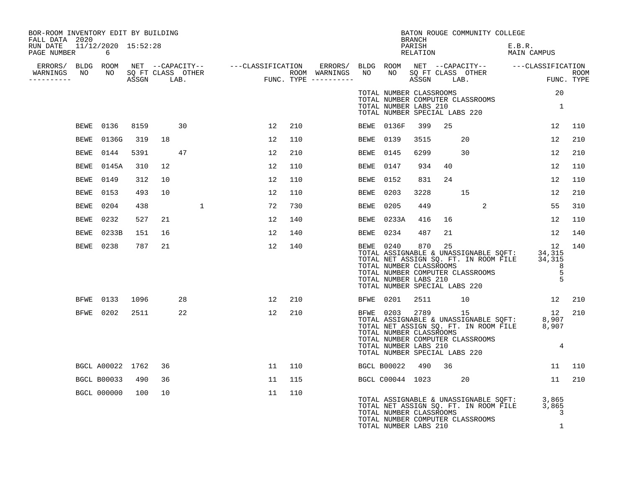| BOR-ROOM INVENTORY EDIT BY BUILDING<br>FALL DATA 2020 |                    |      |    |                      |                                                                                                                                                                                                              |    |     |             |                                                                                                     | BRANCH             |    | BATON ROUGE COMMUNITY COLLEGE                                                                                                                        |                       |                          |     |
|-------------------------------------------------------|--------------------|------|----|----------------------|--------------------------------------------------------------------------------------------------------------------------------------------------------------------------------------------------------------|----|-----|-------------|-----------------------------------------------------------------------------------------------------|--------------------|----|------------------------------------------------------------------------------------------------------------------------------------------------------|-----------------------|--------------------------|-----|
| RUN DATE 11/12/2020 15:52:28<br>PAGE NUMBER           | 6                  |      |    |                      |                                                                                                                                                                                                              |    |     |             |                                                                                                     | PARISH<br>RELATION |    |                                                                                                                                                      | E.B.R.<br>MAIN CAMPUS |                          |     |
| ERRORS/ BLDG ROOM                                     |                    |      |    |                      |                                                                                                                                                                                                              |    |     |             |                                                                                                     |                    |    |                                                                                                                                                      |                       |                          |     |
| WARNINGS<br>NO<br>.                                   |                    |      |    | NO SQ FT CLASS OTHER | NET --CAPACITY-- ----CLASSIFICATION ERRORS/BLDGROOM NET --CAPACITY-- ----CLASSIFICATION<br>SQFTCLASS OTHER ROOM WARNINGS NO NO SQFTCLASS OTHER ROOM<br>ASSGN LAB. FUNC.TYPE ----------- ASSGN LAB. FUNC.TYPE |    |     |             |                                                                                                     |                    |    |                                                                                                                                                      |                       |                          |     |
|                                                       |                    |      |    |                      |                                                                                                                                                                                                              |    |     |             | TOTAL NUMBER CLASSROOMS                                                                             |                    |    |                                                                                                                                                      |                       | 20                       |     |
|                                                       |                    |      |    |                      |                                                                                                                                                                                                              |    |     |             | TOTAL NUMBER LABS 210<br>TOTAL NUMBER SPECIAL LABS 220                                              |                    |    | TOTAL NUMBER COMPUTER CLASSROOMS                                                                                                                     |                       | $\overline{\mathbf{1}}$  |     |
| BEWE                                                  | 0136               | 8159 |    | 30                   |                                                                                                                                                                                                              | 12 | 210 | BEWE        | 0136F                                                                                               | 399                | 25 |                                                                                                                                                      |                       | 12                       | 110 |
| <b>BEWE</b>                                           | 0136G              | 319  | 18 |                      |                                                                                                                                                                                                              | 12 | 110 | <b>BEWE</b> | 0139                                                                                                | 3515               |    | 20                                                                                                                                                   |                       | 12                       | 210 |
| <b>BEWE</b>                                           | 0144               | 5391 |    | 47                   |                                                                                                                                                                                                              | 12 | 210 | <b>BEWE</b> | 0145                                                                                                | 6299               |    | 30                                                                                                                                                   |                       | 12                       | 210 |
| <b>BEWE</b>                                           | 0145A              | 310  | 12 |                      |                                                                                                                                                                                                              | 12 | 110 | <b>BEWE</b> | 0147                                                                                                | 934                | 40 |                                                                                                                                                      |                       | 12                       | 110 |
| <b>BEWE</b>                                           | 0149               | 312  | 10 |                      |                                                                                                                                                                                                              | 12 | 110 | <b>BEWE</b> | 0152                                                                                                | 831                | 24 |                                                                                                                                                      |                       | 12                       | 110 |
| BEWE                                                  | 0153               | 493  | 10 |                      |                                                                                                                                                                                                              | 12 | 110 | <b>BEWE</b> | 0203                                                                                                | 3228               |    | 15                                                                                                                                                   |                       | 12                       | 210 |
| <b>BEWE</b>                                           | 0204               | 438  |    | 1                    |                                                                                                                                                                                                              | 72 | 730 | <b>BEWE</b> | 0205                                                                                                | 449                |    | $\overline{2}$                                                                                                                                       |                       | 55                       | 310 |
| <b>BEWE</b>                                           | 0232               | 527  | 21 |                      |                                                                                                                                                                                                              | 12 | 140 | <b>BEWE</b> | 0233A                                                                                               | 416                | 16 |                                                                                                                                                      |                       | 12                       | 110 |
| BEWE                                                  | 0233B              | 151  | 16 |                      |                                                                                                                                                                                                              | 12 | 140 | BEWE        | 0234                                                                                                | 487                | 21 |                                                                                                                                                      |                       | 12                       | 140 |
| <b>BEWE</b>                                           | 0238               | 787  | 21 |                      |                                                                                                                                                                                                              | 12 | 140 | BEWE 0240   | TOTAL NUMBER CLASSROOMS<br>TOTAL NUMBER LABS 210<br>TOTAL NUMBER SPECIAL LABS 220                   | 870                | 25 | BEWE 0240 870 25<br>TOTAL ASSIGNABLE & UNASSIGNABLE SQFT: 34,315<br>TOTAL NET ASSIGN SQ. FT. IN ROOM FILE 34,315<br>TOTAL NUMBER COMPUTER CLASSROOMS |                       | 12<br>8<br>5<br>5        | 140 |
| BFWE                                                  | 0133               | 1096 |    | 28                   |                                                                                                                                                                                                              | 12 | 210 | BFWE 0201   |                                                                                                     | 2511               |    | 10                                                                                                                                                   |                       | 12                       | 210 |
| BFWE                                                  | 0202               | 2511 |    | 22                   |                                                                                                                                                                                                              | 12 | 210 |             | BFWE 0203 2789<br>TOTAL NUMBER CLASSROOMS<br>TOTAL NUMBER LABS 210<br>TOTAL NUMBER SPECIAL LABS 220 |                    |    | 15<br>TOTAL ASSIGNABLE & UNASSIGNABLE SQFT: 8,907<br>TOTAL NET ASSIGN SQ. FT. IN ROOM FILE 8,907<br>TOTAL NUMBER COMPUTER CLASSROOMS                 |                       | 12<br>4                  | 210 |
|                                                       | BGCL A00022 1762   |      | 36 |                      |                                                                                                                                                                                                              | 11 | 110 |             | BGCL B00022                                                                                         | 490                | 36 |                                                                                                                                                      |                       | 11                       | 110 |
|                                                       | <b>BGCL B00033</b> | 490  | 36 |                      |                                                                                                                                                                                                              | 11 | 115 |             | BGCL C00044 1023                                                                                    |                    |    | 20                                                                                                                                                   |                       | 11                       | 210 |
|                                                       | <b>BGCL 000000</b> | 100  | 10 |                      |                                                                                                                                                                                                              | 11 | 110 |             | TOTAL NUMBER CLASSROOMS<br>TOTAL NUMBER LABS 210                                                    |                    |    | TOTAL ASSIGNABLE & UNASSIGNABLE SQFT:<br>TOTAL NET ASSIGN SQ. FT. IN ROOM FILE<br>TOTAL NUMBER COMPUTER CLASSROOMS                                   |                       | 3,865<br>3,865<br>3<br>1 |     |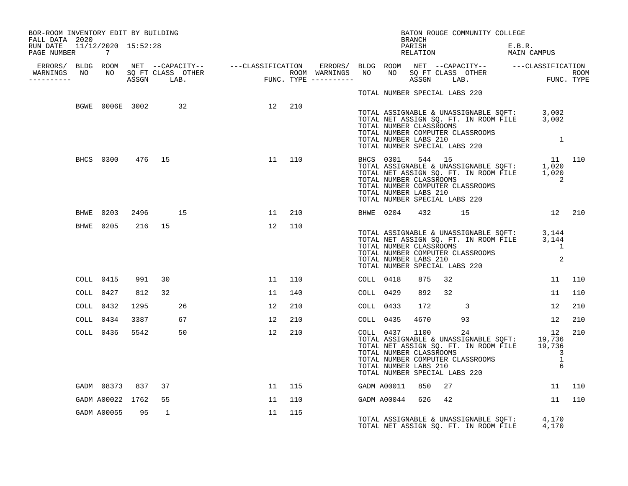| BOR-ROOM INVENTORY EDIT BY BUILDING<br>FALL DATA 2020 |                  |        |         |    |                           |        |     |           |                         | BRANCH |      | BATON ROUGE COMMUNITY COLLEGE                                                              |                                                                                                                                                                                                                                                              |        |
|-------------------------------------------------------|------------------|--------|---------|----|---------------------------|--------|-----|-----------|-------------------------|--------|------|--------------------------------------------------------------------------------------------|--------------------------------------------------------------------------------------------------------------------------------------------------------------------------------------------------------------------------------------------------------------|--------|
| RUN DATE 11/12/2020 15:52:28<br>PAGE NUMBER 7         |                  |        |         |    |                           |        |     |           |                         |        |      |                                                                                            | E.B.R.<br>PARISH E.B.R.<br>RELATION MAIN CAMPUS                                                                                                                                                                                                              |        |
|                                                       |                  |        |         |    |                           |        |     |           |                         |        |      |                                                                                            |                                                                                                                                                                                                                                                              |        |
|                                                       |                  |        |         |    |                           |        |     |           |                         |        |      | TOTAL NUMBER SPECIAL LABS 220                                                              |                                                                                                                                                                                                                                                              |        |
|                                                       |                  |        |         |    | BGWE 0006E 3002 32 12 210 |        |     |           | TOTAL NUMBER CLASSROOMS |        |      | TOTAL NUMBER COMPUTER CLASSROOMS<br>TOTAL NUMBER LABS 210<br>TOTAL NUMBER SPECIAL LABS 220 | TOTAL ASSIGNABLE & UNASSIGNABLE SQFT: 3,002<br>TOTAL NET ASSIGN SQ. FT. IN ROOM FILE 3,002<br>$\overline{\phantom{a}}$                                                                                                                                       |        |
|                                                       | BHCS 0300 476 15 |        |         |    |                           | 11 110 |     |           | TOTAL NUMBER LABS 210   |        |      | TOTAL NUMBER SPECIAL LABS 220                                                              | BHCS 0301 544 15 11 110<br>TOTAL ASSIGNABLE & UNASSIGNABLE SQFT: 1,020<br>TOTAL NET ASSIGN SQ. FT. IN ROOM FILE 1,020<br>TOTAL NUMBER CLASSROOMS 2<br>TOTAL NUMBER COMPUTER CLASSROOMS 2                                                                     |        |
|                                                       | BHWE 0203        |        | 2496 15 |    |                           | 11     | 210 |           |                         |        |      |                                                                                            | BHWE 0204 432 15 12 210                                                                                                                                                                                                                                      |        |
|                                                       | BHWE 0205        | 216 15 |         |    |                           | 12 110 |     |           |                         |        |      |                                                                                            | TOTAL ASSIGNABLE & UNASSIGNABLE SQFT: 3,144<br>TOTAL NET ASSIGN SQ. FT. IN ROOM FILE 3,144<br>TOTAL NUMBER CLASSROOMS 1<br>TOTAL NUMBER COMPUTER CLASSROOMS 1<br>TOTAL NUMBER LABS 210<br>TOTAL NUMBER SPECIAL LABS 220                                      |        |
|                                                       | COLL 0415        | 991    | 30      |    |                           | 11 110 |     | COLL 0418 |                         | 875    | 32   |                                                                                            |                                                                                                                                                                                                                                                              | 11 110 |
|                                                       | COLL 0427        | 812    | 32      |    |                           | 11     | 140 | COLL 0429 |                         | 892    | 32   |                                                                                            | 11                                                                                                                                                                                                                                                           | 110    |
|                                                       | COLL 0432        | 1295   |         | 26 |                           | 12     | 210 | COLL 0433 |                         | 172    |      | $\overline{\mathbf{3}}$                                                                    | 12                                                                                                                                                                                                                                                           | 210    |
|                                                       | COLL 0434        | 3387   |         | 67 |                           | 12     | 210 | COLL 0435 |                         |        | 4670 | 93                                                                                         | 12                                                                                                                                                                                                                                                           | 210    |
|                                                       | COLL 0436        |        | 5542    | 50 |                           | 12     | 210 |           |                         |        |      | TOTAL NUMBER SPECIAL LABS 220                                                              | COLL 0437 1100 24 12<br>TOTAL ASSIGNABLE & UNASSIGNABLE SQFT: 19,736<br>TOTAL NET ASSIGN SQ. FT. IN ROOM FILE 19,736<br>12<br>101AL NUMBER CLASSROOMS<br>TOTAL NUMBER COMPUTER CLASSROOMS 1<br>TOTAL NUMBER COMPUTER CLASSROOMS 1<br>TOTAL NUMBER LABS 210 6 | 210    |
|                                                       | GADM 08373 837   |        | 37      |    |                           | 11 115 |     |           | GADM A00011 850 27      |        |      |                                                                                            | $\begin{array}{ccc} & 11 & 110 \end{array}$                                                                                                                                                                                                                  |        |
|                                                       | GADM A00022 1762 |        | 55      |    |                           | 11     | 110 |           | GADM A00044 626         |        | 42   |                                                                                            |                                                                                                                                                                                                                                                              | 11 110 |
|                                                       | GADM A00055      | 95     | 1       |    |                           | 11     | 115 |           |                         |        |      |                                                                                            | TOTAL ASSIGNABLE & UNASSIGNABLE SQFT: 4,170<br>TOTAL NET ASSIGN SQ. FT. IN ROOM FILE 4,170                                                                                                                                                                   |        |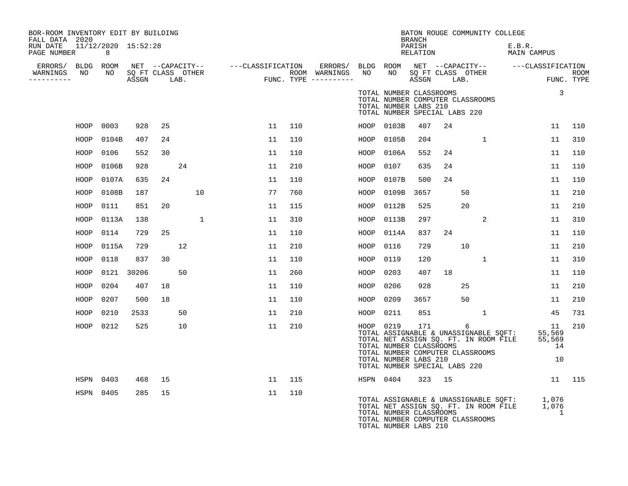| BOR-ROOM INVENTORY EDIT BY BUILDING<br>FALL DATA 2020 |                          |            |    |    |    |     |           |                                                                                                                                                                                                         | <b>BRANCH</b>      |        |    | BATON ROUGE COMMUNITY COLLEGE |                                                                                            |                                    |     |
|-------------------------------------------------------|--------------------------|------------|----|----|----|-----|-----------|---------------------------------------------------------------------------------------------------------------------------------------------------------------------------------------------------------|--------------------|--------|----|-------------------------------|--------------------------------------------------------------------------------------------|------------------------------------|-----|
| RUN DATE<br>PAGE NUMBER                               | 11/12/2020 15:52:28<br>8 |            |    |    |    |     |           |                                                                                                                                                                                                         | PARISH<br>RELATION |        |    |                               | E.B.R.<br>MAIN CAMPUS                                                                      |                                    |     |
|                                                       |                          |            |    |    |    |     |           |                                                                                                                                                                                                         |                    |        |    |                               |                                                                                            |                                    |     |
| WARNINGS<br>----------                                |                          |            |    |    |    |     |           |                                                                                                                                                                                                         |                    |        |    |                               |                                                                                            |                                    |     |
|                                                       |                          |            |    |    |    |     |           | TOTAL NUMBER CLASSROOMS<br>TOTAL NUMBER COMPUTER CLASSROOMS<br>TOTAL NUMBER LABS 210<br>TOTAL NUMBER SPECIAL LABS 220                                                                                   |                    |        |    |                               |                                                                                            | $\mathbf{3}$                       |     |
| HOOP                                                  | 0003                     | 928        | 25 |    | 11 | 110 |           | HOOP 0103B                                                                                                                                                                                              | 407                | 24     |    |                               |                                                                                            | 11                                 | 110 |
| HOOP                                                  | 0104B                    | 407        | 24 |    | 11 | 110 | HOOP      | 0105B                                                                                                                                                                                                   | 204                |        |    | $\mathbf{1}$                  |                                                                                            | 11                                 | 310 |
| HOOP                                                  | 0106                     | 552        | 30 |    | 11 | 110 | HOOP      | 0106A                                                                                                                                                                                                   | 552                | 24     |    |                               |                                                                                            | 11                                 | 110 |
| HOOP                                                  | 0106B                    | 928        |    | 24 | 11 | 210 | HOOP      | 0107                                                                                                                                                                                                    | 635                | 24     |    |                               |                                                                                            | 11                                 | 110 |
| HOOP                                                  | 0107A                    | 635        | 24 |    | 11 | 110 | HOOP      | 0107B                                                                                                                                                                                                   | 500                | 24     |    |                               |                                                                                            | 11                                 | 110 |
| HOOP                                                  | 0108B                    | 187        |    | 10 | 77 | 760 | HOOP      | 0109B                                                                                                                                                                                                   | 3657               |        | 50 |                               |                                                                                            | 11                                 | 210 |
| HOOP                                                  | 0111                     | 851        | 20 |    | 11 | 115 | HOOP      | 0112B                                                                                                                                                                                                   | 525                |        | 20 |                               |                                                                                            | 11                                 | 210 |
| HOOP                                                  | 0113A                    | 138        |    | 1  | 11 | 310 | HOOP      | 0113B                                                                                                                                                                                                   | 297                |        |    | 2                             |                                                                                            | 11                                 | 310 |
| HOOP                                                  | 0114                     | 729        | 25 |    | 11 | 110 | HOOP      | 0114A                                                                                                                                                                                                   | 837                | 24     |    |                               |                                                                                            | 11                                 | 110 |
| HOOP                                                  | 0115A                    | 729        |    | 12 | 11 | 210 | HOOP      | 0116                                                                                                                                                                                                    | 729                |        | 10 |                               |                                                                                            | 11                                 | 210 |
| HOOP                                                  | 0118                     | 837        | 30 |    | 11 | 110 | HOOP      | 0119                                                                                                                                                                                                    | 120                |        |    | $\mathbf{1}$                  |                                                                                            | 11                                 | 310 |
| HOOP                                                  |                          | 0121 30206 |    | 50 | 11 | 260 | HOOP      | 0203                                                                                                                                                                                                    | 407                | 18     |    |                               |                                                                                            | 11                                 | 110 |
| HOOP                                                  | 0204                     | 407        | 18 |    | 11 | 110 | HOOP      | 0206                                                                                                                                                                                                    | 928                |        | 25 |                               |                                                                                            | 11                                 | 210 |
| HOOP                                                  | 0207                     | 500        | 18 |    | 11 | 110 | HOOP      | 0209                                                                                                                                                                                                    | 3657               |        | 50 |                               |                                                                                            | 11                                 | 210 |
| HOOP                                                  | 0210                     | 2533       |    | 50 | 11 | 210 | HOOP      | 0211                                                                                                                                                                                                    | 851                |        |    | $\mathbf{1}$                  |                                                                                            | 45                                 | 731 |
| HOOP                                                  | 0212                     | 525        |    | 10 | 11 | 210 | HOOP 0219 | TOTAL ASSIGNABLE & UNASSIGNABLE SQFT:<br>TOTAL NET ASSIGN SQ. FT. IN ROOM FILE<br>TOTAL NUMBER CLASSROOMS<br>TOTAL NUMBER COMPUTER CLASSROOMS<br>TOTAL NUMBER LABS 210<br>TOTAL NUMBER SPECIAL LABS 220 | 171                |        | 6  |                               |                                                                                            | 11<br>55,569<br>55,569<br>14<br>10 | 210 |
| HSPN                                                  | 0403                     | 468        | 15 |    | 11 | 115 |           | HSPN 0404                                                                                                                                                                                               |                    | 323 15 |    |                               |                                                                                            | 11 115                             |     |
|                                                       | HSPN 0405                | 285        | 15 |    | 11 | 110 |           | TOTAL NUMBER CLASSROOMS<br>TOTAL NUMBER COMPUTER CLASSROOMS<br>TOTAL NUMBER LABS 210                                                                                                                    |                    |        |    |                               | TOTAL ASSIGNABLE & UNASSIGNABLE SQFT: 1,076<br>TOTAL NET ASSIGN SQ. FT. IN ROOM FILE 1,076 | $\overline{\phantom{a}}$           |     |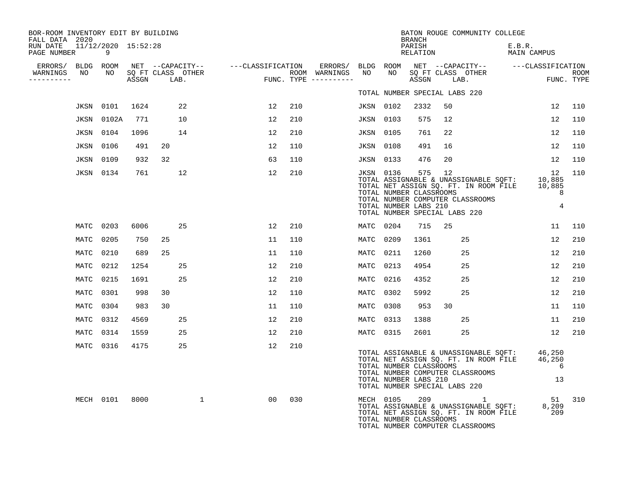| BOR-ROOM INVENTORY EDIT BY BUILDING<br>FALL DATA 2020 |                                       |       |                           |                                    |     |                                      |                  |                                                  | BRANCH             |                                     | BATON ROUGE COMMUNITY COLLEGE                                                                                      |                                                              |                     |                    |
|-------------------------------------------------------|---------------------------------------|-------|---------------------------|------------------------------------|-----|--------------------------------------|------------------|--------------------------------------------------|--------------------|-------------------------------------|--------------------------------------------------------------------------------------------------------------------|--------------------------------------------------------------|---------------------|--------------------|
| RUN DATE<br>PAGE NUMBER                               | 11/12/2020 15:52:28<br>$\overline{9}$ |       |                           |                                    |     |                                      |                  |                                                  | PARISH<br>RELATION |                                     |                                                                                                                    | E.B.R.<br>MAIN CAMPUS                                        |                     |                    |
| ERRORS/ BLDG ROOM                                     |                                       |       |                           | NET --CAPACITY-- ---CLASSIFICATION |     | ERRORS/                              | BLDG ROOM        |                                                  |                    |                                     |                                                                                                                    | NET --CAPACITY-- ---CLASSIFICATION                           |                     |                    |
| WARNINGS<br>NO<br>----------                          | NO                                    | ASSGN | SQ FT CLASS OTHER<br>LAB. |                                    |     | ROOM WARNINGS<br>FUNC. TYPE $------$ | NO               | NO                                               | ASSGN              |                                     | SQ FT CLASS OTHER<br>LAB.                                                                                          |                                                              |                     | ROOM<br>FUNC. TYPE |
|                                                       |                                       |       |                           |                                    |     |                                      |                  |                                                  |                    | TOTAL NUMBER SPECIAL LABS 220       |                                                                                                                    |                                                              |                     |                    |
| JKSN                                                  | 0101                                  | 1624  | 22                        | 12                                 | 210 |                                      | <b>JKSN 0102</b> |                                                  | 2332               | 50                                  |                                                                                                                    | 12                                                           |                     | 110                |
| JKSN                                                  | 0102A                                 | 771   | 10                        | 12                                 | 210 |                                      | <b>JKSN 0103</b> |                                                  | 575                | 12                                  |                                                                                                                    | 12                                                           |                     | 110                |
| JKSN                                                  | 0104                                  | 1096  | 14                        | 12                                 | 210 |                                      | <b>JKSN 0105</b> |                                                  | 761                | 22                                  |                                                                                                                    | 12                                                           |                     | 110                |
|                                                       | <b>JKSN 0106</b>                      | 491   | 20                        | 12                                 | 110 |                                      | <b>JKSN 0108</b> |                                                  | 491                | 16                                  |                                                                                                                    | 12                                                           |                     | 110                |
|                                                       | <b>JKSN 0109</b>                      | 932   | 32                        | 63                                 | 110 |                                      | <b>JKSN 0133</b> |                                                  | 476                | 20                                  |                                                                                                                    | 12                                                           |                     | 110                |
|                                                       | <b>JKSN 0134</b>                      | 761   | 12                        | 12                                 | 210 |                                      | JKSN 0136        | TOTAL NUMBER CLASSROOMS<br>TOTAL NUMBER LABS 210 | 575                | 12<br>TOTAL NUMBER SPECIAL LABS 220 | TOTAL NET ASSIGN SQ. FT. IN ROOM FILE<br>TOTAL NUMBER COMPUTER CLASSROOMS                                          | 12<br>TOTAL ASSIGNABLE & UNASSIGNABLE SQFT: 10,885<br>10,885 | 8<br>$\overline{4}$ | 110                |
|                                                       | MATC 0203                             | 6006  | 25                        | 12                                 | 210 |                                      | MATC 0204        |                                                  | 715                | 25                                  |                                                                                                                    |                                                              | 11                  | 110                |
| MATC                                                  | 0205                                  | 750   | 25                        | 11                                 | 110 |                                      | MATC             | 0209                                             | 1361               |                                     | 25                                                                                                                 | 12                                                           |                     | 210                |
| MATC                                                  | 0210                                  | 689   | 25                        | 11                                 | 110 |                                      | MATC             | 0211                                             | 1260               |                                     | 25                                                                                                                 | 12                                                           |                     | 210                |
| MATC                                                  | 0212                                  | 1254  | 25                        | 12                                 | 210 |                                      | MATC             | 0213                                             | 4954               |                                     | 25                                                                                                                 | 12                                                           |                     | 210                |
|                                                       | MATC 0215                             | 1691  | 25                        | 12                                 | 210 |                                      | MATC             | 0216                                             | 4352               |                                     | 25                                                                                                                 | 12                                                           |                     | 210                |
| MATC                                                  | 0301                                  | 998   | 30                        | 12                                 | 110 |                                      | MATC             | 0302                                             | 5992               |                                     | 25                                                                                                                 | 12                                                           |                     | 210                |
|                                                       | MATC 0304                             | 983   | 30                        | 11                                 | 110 |                                      | MATC             | 0308                                             | 953                | 30                                  |                                                                                                                    | 11                                                           |                     | 110                |
| MATC                                                  | 0312                                  | 4569  | 25                        | 12                                 | 210 |                                      | MATC             | 0313                                             | 1388               |                                     | 25                                                                                                                 | 11                                                           |                     | 210                |
|                                                       | MATC 0314                             | 1559  | 25                        | 12                                 | 210 |                                      | MATC 0315        |                                                  | 2601               |                                     | 25                                                                                                                 |                                                              | $12 \overline{ }$   | 210                |
|                                                       | MATC 0316                             | 4175  | 25                        | 12                                 | 210 |                                      |                  | TOTAL NUMBER CLASSROOMS<br>TOTAL NUMBER LABS 210 |                    | TOTAL NUMBER SPECIAL LABS 220       | TOTAL ASSIGNABLE & UNASSIGNABLE SOFT:<br>TOTAL NET ASSIGN SQ. FT. IN ROOM FILE<br>TOTAL NUMBER COMPUTER CLASSROOMS | 46,250<br>46,250                                             | 6<br>13             |                    |
|                                                       | MECH 0101                             | 8000  | $\mathbf 1$               | 00                                 | 030 |                                      |                  | MECH 0105<br>TOTAL NUMBER CLASSROOMS             | 209                |                                     | TOTAL ASSIGNABLE & UNASSIGNABLE SQFT:<br>TOTAL NET ASSIGN SQ. FT. IN ROOM FILE<br>TOTAL NUMBER COMPUTER CLASSROOMS | 51<br>8,209<br>209                                           |                     | 310                |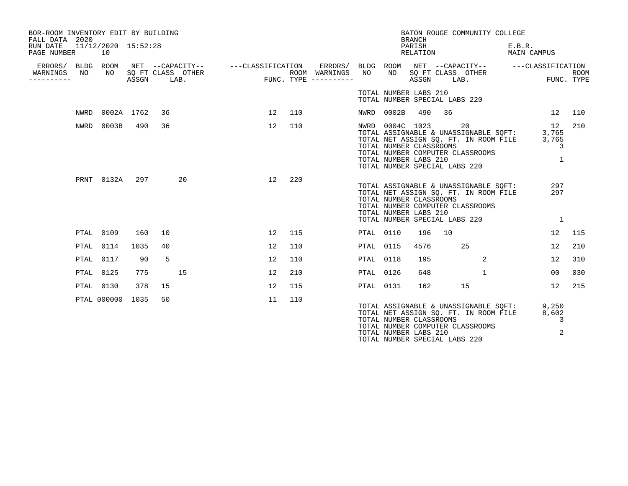| BOR-ROOM INVENTORY EDIT BY BUILDING<br>FALL DATA 2020 |      |                           |       |    |                           |                                               |     |                                      |                  |                                                                     | <b>BRANCH</b>      | BATON ROUGE COMMUNITY COLLEGE                                                                                                                             |                       |                                           |      |
|-------------------------------------------------------|------|---------------------------|-------|----|---------------------------|-----------------------------------------------|-----|--------------------------------------|------------------|---------------------------------------------------------------------|--------------------|-----------------------------------------------------------------------------------------------------------------------------------------------------------|-----------------------|-------------------------------------------|------|
| RUN DATE<br>PAGE NUMBER                               |      | 11/12/2020 15:52:28<br>10 |       |    |                           |                                               |     |                                      |                  |                                                                     | PARISH<br>RELATION |                                                                                                                                                           | E.B.R.<br>MAIN CAMPUS |                                           |      |
| ERRORS/ BLDG ROOM<br>WARNINGS<br>--------             | NO   | NO                        | ASSGN |    | SQ FT CLASS OTHER<br>LAB. | NET --CAPACITY--    ---CLASSIFICATION ERRORS/ |     | ROOM WARNINGS<br>FUNC. TYPE $------$ | NO               |                                                                     |                    | BLDG ROOM NET --CAPACITY-- ---CLASSIFICATION<br>NO SQ FT CLASS OTHER<br>ASSGN LAB.                                                                        |                       | FUNC. TYPE                                | ROOM |
|                                                       |      |                           |       |    |                           |                                               |     |                                      |                  | TOTAL NUMBER LABS 210                                               |                    | TOTAL NUMBER SPECIAL LABS 220                                                                                                                             |                       |                                           |      |
|                                                       | NWRD | 0002A 1762                |       | 36 |                           | 12                                            | 110 |                                      |                  | NWRD 0002B                                                          | 490                | 36                                                                                                                                                        |                       | 12                                        | 110  |
|                                                       | NWRD | 0003B                     | 490   | 36 |                           | 12                                            | 110 |                                      |                  | NWRD 0004C 1023<br>TOTAL NUMBER CLASSROOMS<br>TOTAL NUMBER LABS 210 |                    | 20<br>TOTAL ASSIGNABLE & UNASSIGNABLE SQFT:<br>TOTAL NET ASSIGN SQ. FT. IN ROOM FILE<br>TOTAL NUMBER COMPUTER CLASSROOMS<br>TOTAL NUMBER SPECIAL LABS 220 |                       | 12<br>3,765<br>3,765<br>3<br>$\mathbf{1}$ | 210  |
|                                                       |      | PRNT 0132A                | 297   |    | 20                        | 12                                            | 220 |                                      |                  | TOTAL NUMBER CLASSROOMS<br>TOTAL NUMBER LABS 210                    |                    | TOTAL ASSIGNABLE & UNASSIGNABLE SOFT:<br>TOTAL NET ASSIGN SQ. FT. IN ROOM FILE<br>TOTAL NUMBER COMPUTER CLASSROOMS<br>TOTAL NUMBER SPECIAL LABS 220       |                       | 297<br>297<br>1                           |      |
|                                                       |      | PTAL 0109                 | 160   | 10 |                           | 12                                            | 115 |                                      | PTAL 0110        |                                                                     | 196                | 10                                                                                                                                                        |                       | 12                                        | 115  |
|                                                       |      | PTAL 0114                 | 1035  | 40 |                           | 12                                            | 110 |                                      | PTAL             | 0115                                                                | 4576               | 25                                                                                                                                                        |                       | 12                                        | 210  |
|                                                       |      | PTAL 0117                 | 90    | 5  |                           | 12                                            | 110 |                                      | <b>PTAL 0118</b> |                                                                     | 195                | 2                                                                                                                                                         |                       | 12                                        | 310  |
|                                                       |      | PTAL 0125                 | 775   |    | 15                        | 12                                            | 210 |                                      | PTAL 0126        |                                                                     | 648                | $\mathbf{1}$                                                                                                                                              |                       | 0 <sub>0</sub>                            | 030  |
|                                                       |      | PTAL 0130                 | 378   | 15 |                           | 12                                            | 115 |                                      | PTAL 0131        |                                                                     | 162                | 15                                                                                                                                                        |                       | 12                                        | 215  |
|                                                       |      | PTAL 000000 1035          |       | 50 |                           | 11                                            | 110 |                                      |                  | TOTAL NUMBER CLASSROOMS<br>TOTAL NUMBER LABS 210                    |                    | TOTAL ASSIGNABLE & UNASSIGNABLE SQFT: 9,250<br>TOTAL NET ASSIGN SO. FT. IN ROOM FILE<br>TOTAL NUMBER COMPUTER CLASSROOMS<br>TOTAL NUMBER SPECIAL LABS 220 |                       | 8,602<br>3<br>2                           |      |